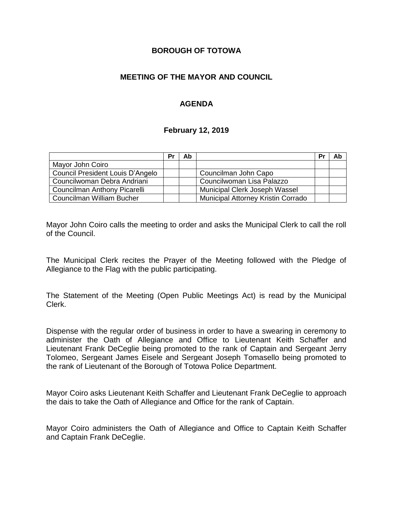#### **BOROUGH OF TOTOWA**

### **MEETING OF THE MAYOR AND COUNCIL**

## **AGENDA**

#### **February 12, 2019**

|                                  | Pr | Ab |                                    | Pr | Ab |
|----------------------------------|----|----|------------------------------------|----|----|
| Mayor John Coiro                 |    |    |                                    |    |    |
| Council President Louis D'Angelo |    |    | Councilman John Capo               |    |    |
| Councilwoman Debra Andriani      |    |    | Councilwoman Lisa Palazzo          |    |    |
| Councilman Anthony Picarelli     |    |    | Municipal Clerk Joseph Wassel      |    |    |
| Councilman William Bucher        |    |    | Municipal Attorney Kristin Corrado |    |    |

Mayor John Coiro calls the meeting to order and asks the Municipal Clerk to call the roll of the Council.

The Municipal Clerk recites the Prayer of the Meeting followed with the Pledge of Allegiance to the Flag with the public participating.

The Statement of the Meeting (Open Public Meetings Act) is read by the Municipal Clerk.

Dispense with the regular order of business in order to have a swearing in ceremony to administer the Oath of Allegiance and Office to Lieutenant Keith Schaffer and Lieutenant Frank DeCeglie being promoted to the rank of Captain and Sergeant Jerry Tolomeo, Sergeant James Eisele and Sergeant Joseph Tomasello being promoted to the rank of Lieutenant of the Borough of Totowa Police Department.

Mayor Coiro asks Lieutenant Keith Schaffer and Lieutenant Frank DeCeglie to approach the dais to take the Oath of Allegiance and Office for the rank of Captain.

Mayor Coiro administers the Oath of Allegiance and Office to Captain Keith Schaffer and Captain Frank DeCeglie.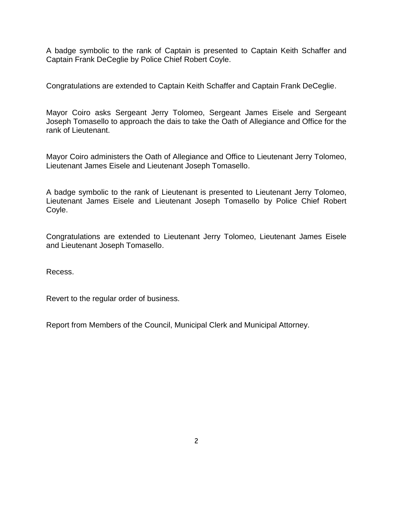A badge symbolic to the rank of Captain is presented to Captain Keith Schaffer and Captain Frank DeCeglie by Police Chief Robert Coyle.

Congratulations are extended to Captain Keith Schaffer and Captain Frank DeCeglie.

Mayor Coiro asks Sergeant Jerry Tolomeo, Sergeant James Eisele and Sergeant Joseph Tomasello to approach the dais to take the Oath of Allegiance and Office for the rank of Lieutenant.

Mayor Coiro administers the Oath of Allegiance and Office to Lieutenant Jerry Tolomeo, Lieutenant James Eisele and Lieutenant Joseph Tomasello.

A badge symbolic to the rank of Lieutenant is presented to Lieutenant Jerry Tolomeo, Lieutenant James Eisele and Lieutenant Joseph Tomasello by Police Chief Robert Coyle.

Congratulations are extended to Lieutenant Jerry Tolomeo, Lieutenant James Eisele and Lieutenant Joseph Tomasello.

Recess.

Revert to the regular order of business.

Report from Members of the Council, Municipal Clerk and Municipal Attorney.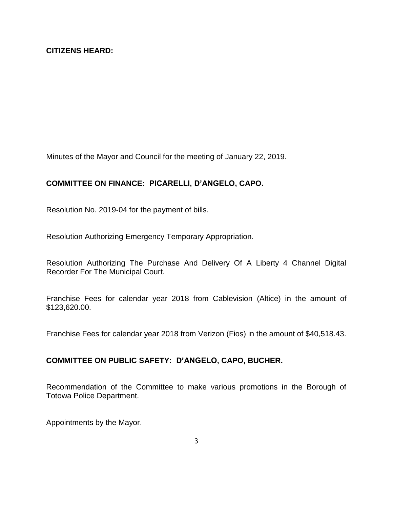Minutes of the Mayor and Council for the meeting of January 22, 2019.

# **COMMITTEE ON FINANCE: PICARELLI, D'ANGELO, CAPO.**

Resolution No. 2019-04 for the payment of bills.

Resolution Authorizing Emergency Temporary Appropriation.

Resolution Authorizing The Purchase And Delivery Of A Liberty 4 Channel Digital Recorder For The Municipal Court.

Franchise Fees for calendar year 2018 from Cablevision (Altice) in the amount of \$123,620.00.

Franchise Fees for calendar year 2018 from Verizon (Fios) in the amount of \$40,518.43.

# **COMMITTEE ON PUBLIC SAFETY: D'ANGELO, CAPO, BUCHER.**

Recommendation of the Committee to make various promotions in the Borough of Totowa Police Department.

Appointments by the Mayor.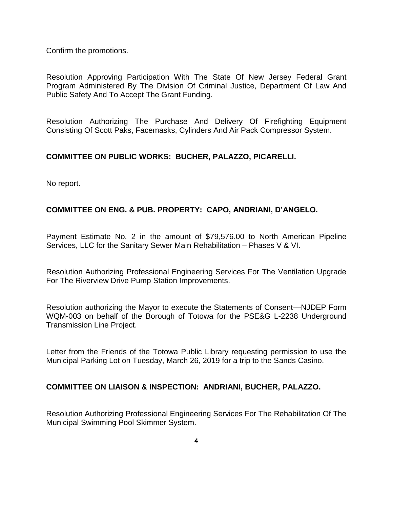Confirm the promotions.

Resolution Approving Participation With The State Of New Jersey Federal Grant Program Administered By The Division Of Criminal Justice, Department Of Law And Public Safety And To Accept The Grant Funding.

Resolution Authorizing The Purchase And Delivery Of Firefighting Equipment Consisting Of Scott Paks, Facemasks, Cylinders And Air Pack Compressor System.

# **COMMITTEE ON PUBLIC WORKS: BUCHER, PALAZZO, PICARELLI.**

No report.

### **COMMITTEE ON ENG. & PUB. PROPERTY: CAPO, ANDRIANI, D'ANGELO.**

Payment Estimate No. 2 in the amount of \$79,576.00 to North American Pipeline Services, LLC for the Sanitary Sewer Main Rehabilitation – Phases V & VI.

Resolution Authorizing Professional Engineering Services For The Ventilation Upgrade For The Riverview Drive Pump Station Improvements.

Resolution authorizing the Mayor to execute the Statements of Consent—NJDEP Form WQM-003 on behalf of the Borough of Totowa for the PSE&G L-2238 Underground Transmission Line Project.

Letter from the Friends of the Totowa Public Library requesting permission to use the Municipal Parking Lot on Tuesday, March 26, 2019 for a trip to the Sands Casino.

#### **COMMITTEE ON LIAISON & INSPECTION: ANDRIANI, BUCHER, PALAZZO.**

Resolution Authorizing Professional Engineering Services For The Rehabilitation Of The Municipal Swimming Pool Skimmer System.